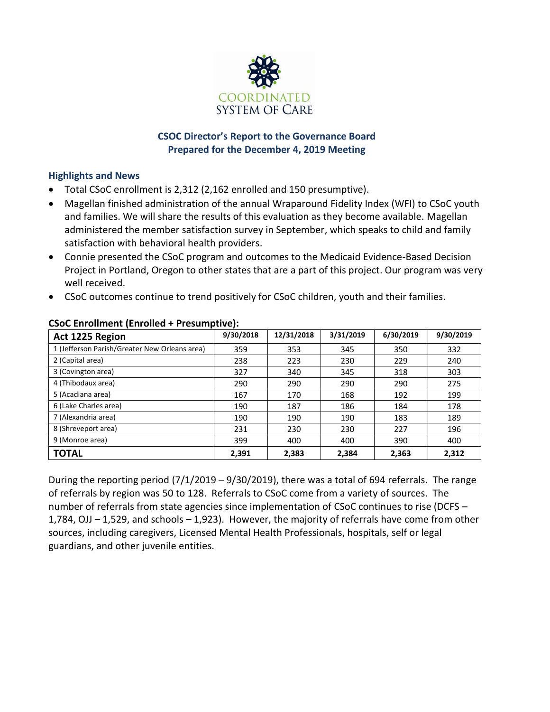

## **CSOC Director's Report to the Governance Board Prepared for the December 4, 2019 Meeting**

## **Highlights and News**

- Total CSoC enrollment is 2,312 (2,162 enrolled and 150 presumptive).
- Magellan finished administration of the annual Wraparound Fidelity Index (WFI) to CSoC youth and families. We will share the results of this evaluation as they become available. Magellan administered the member satisfaction survey in September, which speaks to child and family satisfaction with behavioral health providers.
- Connie presented the CSoC program and outcomes to the Medicaid Evidence-Based Decision Project in Portland, Oregon to other states that are a part of this project. Our program was very well received.
- CSoC outcomes continue to trend positively for CSoC children, youth and their families.

| Act 1225 Region                               | 9/30/2018 | 12/31/2018 | 3/31/2019 | 6/30/2019 | 9/30/2019 |
|-----------------------------------------------|-----------|------------|-----------|-----------|-----------|
| 1 (Jefferson Parish/Greater New Orleans area) | 359       | 353        | 345       | 350       | 332       |
| 2 (Capital area)                              | 238       | 223        | 230       | 229       | 240       |
| 3 (Covington area)                            | 327       | 340        | 345       | 318       | 303       |
| 4 (Thibodaux area)                            | 290       | 290        | 290       | 290       | 275       |
| 5 (Acadiana area)                             | 167       | 170        | 168       | 192       | 199       |
| 6 (Lake Charles area)                         | 190       | 187        | 186       | 184       | 178       |
| 7 (Alexandria area)                           | 190       | 190        | 190       | 183       | 189       |
| 8 (Shreveport area)                           | 231       | 230        | 230       | 227       | 196       |
| 9 (Monroe area)                               | 399       | 400        | 400       | 390       | 400       |
| <b>TOTAL</b>                                  | 2,391     | 2,383      | 2,384     | 2,363     | 2,312     |

## **CSoC Enrollment (Enrolled + Presumptive):**

During the reporting period  $(7/1/2019 - 9/30/2019)$ , there was a total of 694 referrals. The range of referrals by region was 50 to 128. Referrals to CSoC come from a variety of sources. The number of referrals from state agencies since implementation of CSoC continues to rise (DCFS – 1,784, OJJ – 1,529, and schools – 1,923). However, the majority of referrals have come from other sources, including caregivers, Licensed Mental Health Professionals, hospitals, self or legal guardians, and other juvenile entities.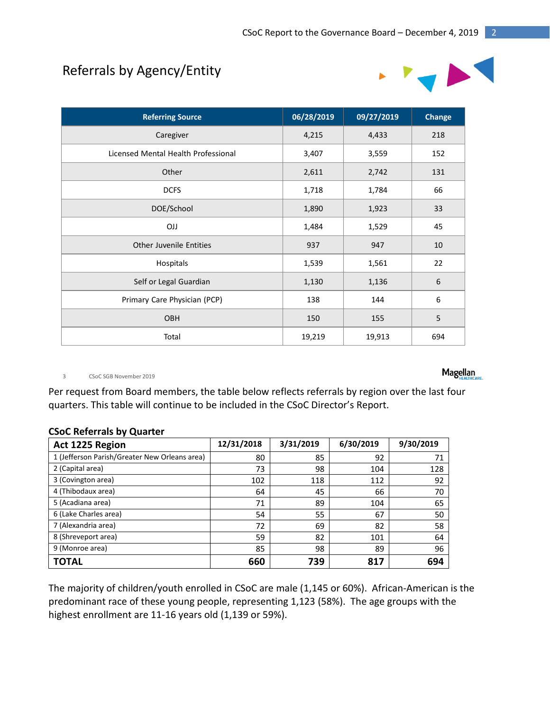# Referrals by Agency/Entity



| <b>Referring Source</b>             | 06/28/2019 | 09/27/2019 | Change           |
|-------------------------------------|------------|------------|------------------|
| Caregiver                           | 4,215      | 4,433      | 218              |
| Licensed Mental Health Professional | 3,407      | 3,559      | 152              |
| Other                               | 2,611      | 2,742      | 131              |
| <b>DCFS</b>                         | 1,718      | 1,784      | 66               |
| DOE/School                          | 1,890      | 1,923      | 33               |
| <b>OJJ</b>                          | 1,484      | 1,529      | 45               |
| <b>Other Juvenile Entities</b>      | 937        | 947        | 10               |
| Hospitals                           | 1,539      | 1,561      | 22               |
| Self or Legal Guardian              | 1,130      | 1,136      | $\boldsymbol{6}$ |
| Primary Care Physician (PCP)        | 138        | 144        | 6                |
| OBH                                 | 150        | 155        | 5                |
| Total                               | 19,219     | 19,913     | 694              |

3 CSoC SGB November 2019

Per request from Board members, the table below reflects referrals by region over the last four quarters. This table will continue to be included in the CSoC Director's Report.

#### **CSoC Referrals by Quarter**

| Act 1225 Region                               | 12/31/2018 | 3/31/2019 | 6/30/2019 | 9/30/2019 |
|-----------------------------------------------|------------|-----------|-----------|-----------|
| 1 (Jefferson Parish/Greater New Orleans area) | 80         | 85        | 92        | 71        |
| 2 (Capital area)                              | 73         | 98        | 104       | 128       |
| 3 (Covington area)                            | 102        | 118       | 112       | 92        |
| 4 (Thibodaux area)                            | 64         | 45        | 66        | 70        |
| 5 (Acadiana area)                             | 71         | 89        | 104       | 65        |
| 6 (Lake Charles area)                         | 54         | 55        | 67        | 50        |
| 7 (Alexandria area)                           | 72         | 69        | 82        | 58        |
| 8 (Shreveport area)                           | 59         | 82        | 101       | 64        |
| 9 (Monroe area)                               | 85         | 98        | 89        | 96        |
| <b>TOTAL</b>                                  | 660        | 739       | 817       | 694       |

The majority of children/youth enrolled in CSoC are male (1,145 or 60%). African-American is the predominant race of these young people, representing 1,123 (58%). The age groups with the highest enrollment are 11-16 years old (1,139 or 59%).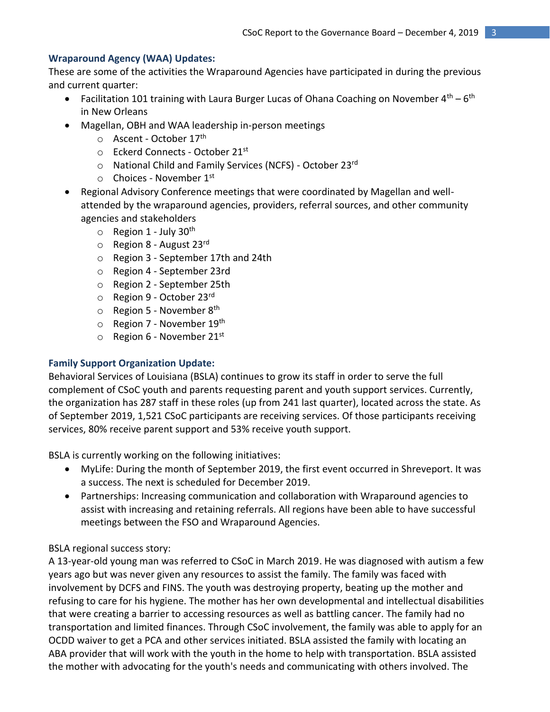## **Wraparound Agency (WAA) Updates:**

These are some of the activities the Wraparound Agencies have participated in during the previous and current quarter:

- Facilitation 101 training with Laura Burger Lucas of Ohana Coaching on November  $4^{\text{th}} 6^{\text{th}}$ in New Orleans
- Magellan, OBH and WAA leadership in-person meetings
	- o Ascent October 17<sup>th</sup>
	- $\circ$  Eckerd Connects October 21st
	- o National Child and Family Services (NCFS) October 23rd
	- $\circ$  Choices November 1st
- Regional Advisory Conference meetings that were coordinated by Magellan and wellattended by the wraparound agencies, providers, referral sources, and other community agencies and stakeholders
	- $\circ$  Region 1 July 30<sup>th</sup>
	- $\circ$  Region 8 August 23rd
	- o Region 3 September 17th and 24th
	- o Region 4 September 23rd
	- o Region 2 September 25th
	- o Region 9 October 23rd
	- $\circ$  Region 5 November 8<sup>th</sup>
	- o Region 7 November 19<sup>th</sup>
	- $\circ$  Region 6 November 21st

## **Family Support Organization Update:**

Behavioral Services of Louisiana (BSLA) continues to grow its staff in order to serve the full complement of CSoC youth and parents requesting parent and youth support services. Currently, the organization has 287 staff in these roles (up from 241 last quarter), located across the state. As of September 2019, 1,521 CSoC participants are receiving services. Of those participants receiving services, 80% receive parent support and 53% receive youth support.

BSLA is currently working on the following initiatives:

- MyLife: During the month of September 2019, the first event occurred in Shreveport. It was a success. The next is scheduled for December 2019.
- Partnerships: Increasing communication and collaboration with Wraparound agencies to assist with increasing and retaining referrals. All regions have been able to have successful meetings between the FSO and Wraparound Agencies.

## BSLA regional success story:

A 13-year-old young man was referred to CSoC in March 2019. He was diagnosed with autism a few years ago but was never given any resources to assist the family. The family was faced with involvement by DCFS and FINS. The youth was destroying property, beating up the mother and refusing to care for his hygiene. The mother has her own developmental and intellectual disabilities that were creating a barrier to accessing resources as well as battling cancer. The family had no transportation and limited finances. Through CSoC involvement, the family was able to apply for an OCDD waiver to get a PCA and other services initiated. BSLA assisted the family with locating an ABA provider that will work with the youth in the home to help with transportation. BSLA assisted the mother with advocating for the youth's needs and communicating with others involved. The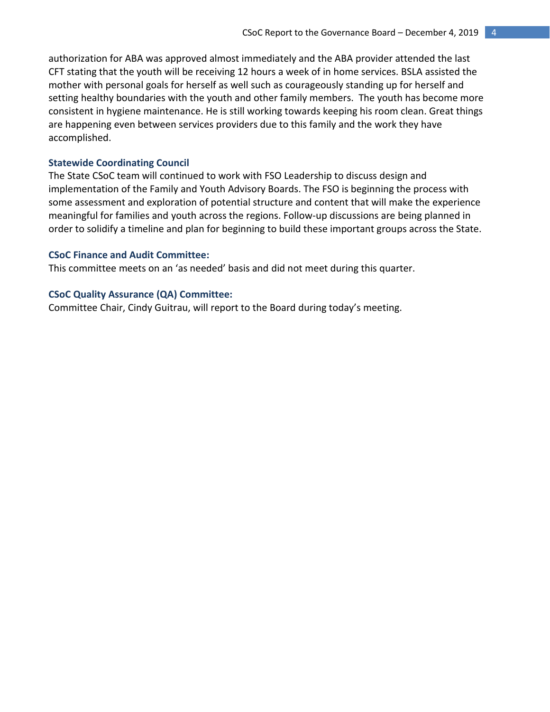authorization for ABA was approved almost immediately and the ABA provider attended the last CFT stating that the youth will be receiving 12 hours a week of in home services. BSLA assisted the mother with personal goals for herself as well such as courageously standing up for herself and setting healthy boundaries with the youth and other family members. The youth has become more consistent in hygiene maintenance. He is still working towards keeping his room clean. Great things are happening even between services providers due to this family and the work they have accomplished.

#### **Statewide Coordinating Council**

The State CSoC team will continued to work with FSO Leadership to discuss design and implementation of the Family and Youth Advisory Boards. The FSO is beginning the process with some assessment and exploration of potential structure and content that will make the experience meaningful for families and youth across the regions. Follow-up discussions are being planned in order to solidify a timeline and plan for beginning to build these important groups across the State.

#### **CSoC Finance and Audit Committee:**

This committee meets on an 'as needed' basis and did not meet during this quarter.

#### **CSoC Quality Assurance (QA) Committee:**

Committee Chair, Cindy Guitrau, will report to the Board during today's meeting.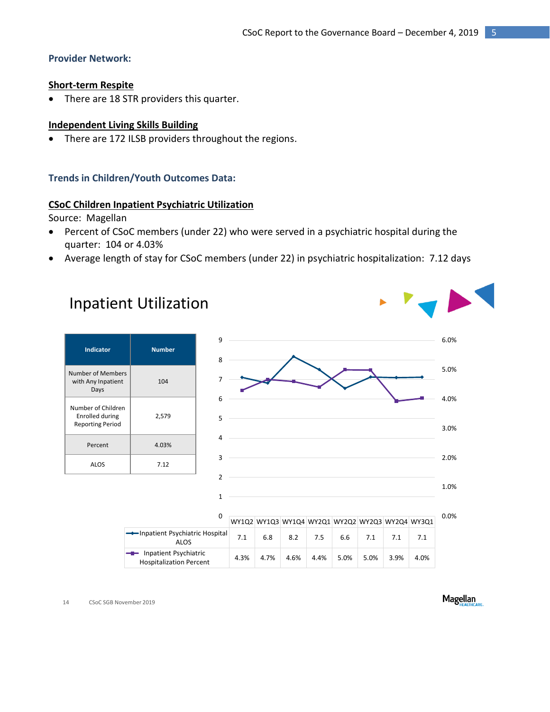### **Provider Network:**

#### **Short-term Respite**

• There are 18 STR providers this quarter.

#### **Independent Living Skills Building**

• There are 172 ILSB providers throughout the regions.

#### **Trends in Children/Youth Outcomes Data:**

#### **CSoC Children Inpatient Psychiatric Utilization**

Source: Magellan

- Percent of CSoC members (under 22) who were served in a psychiatric hospital during the quarter: 104 or 4.03%
- Average length of stay for CSoC members (under 22) in psychiatric hospitalization: 7.12 days

# Inpatient Utilization

| <b>Indicator</b>                                                 | <b>Number</b> |  |
|------------------------------------------------------------------|---------------|--|
| Number of Members<br>with Any Inpatient<br>Days                  | 104           |  |
| Number of Children<br>Enrolled during<br><b>Reporting Period</b> | 2,579         |  |
| Percent                                                          | 4.03%         |  |
| ALOS                                                             | 7.12          |  |



14 CSoC SGB November 2019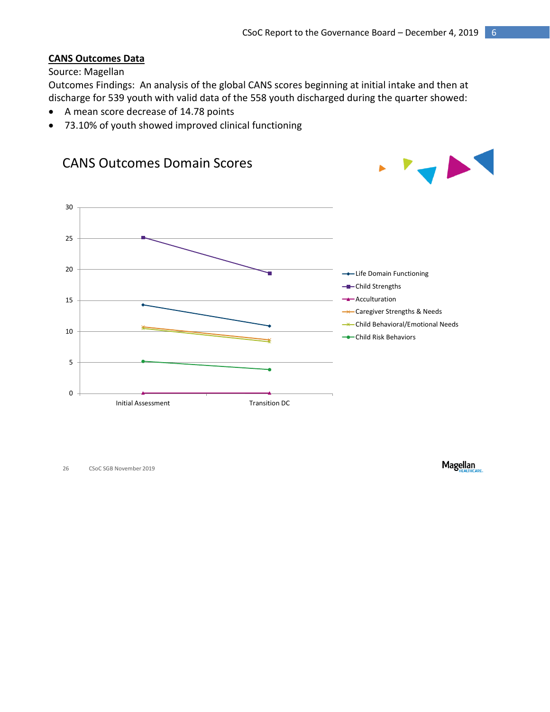#### **CANS Outcomes Data**

#### Source: Magellan

Outcomes Findings: An analysis of the global CANS scores beginning at initial intake and then at discharge for 539 youth with valid data of the 558 youth discharged during the quarter showed:

- A mean score decrease of 14.78 points
- 73.10% of youth showed improved clinical functioning



26 CSoC SGB November 2019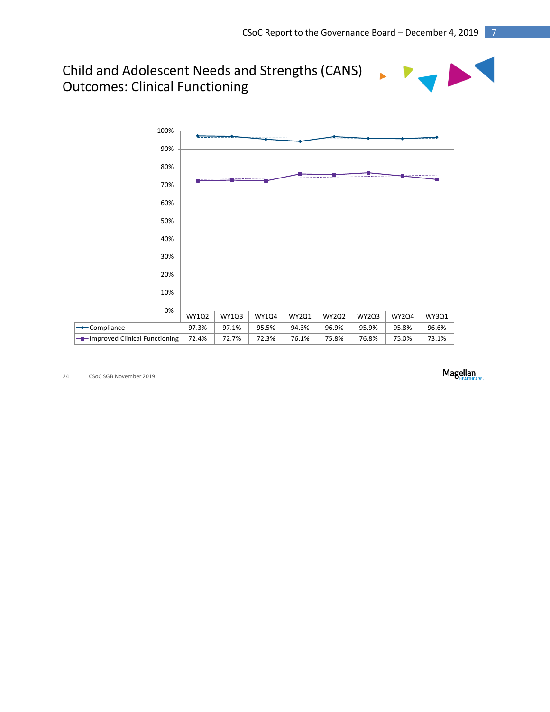## Child and Adolescent Needs and Strengths (CANS) Outcomes: Clinical Functioning



24 CSoC SGB November 2019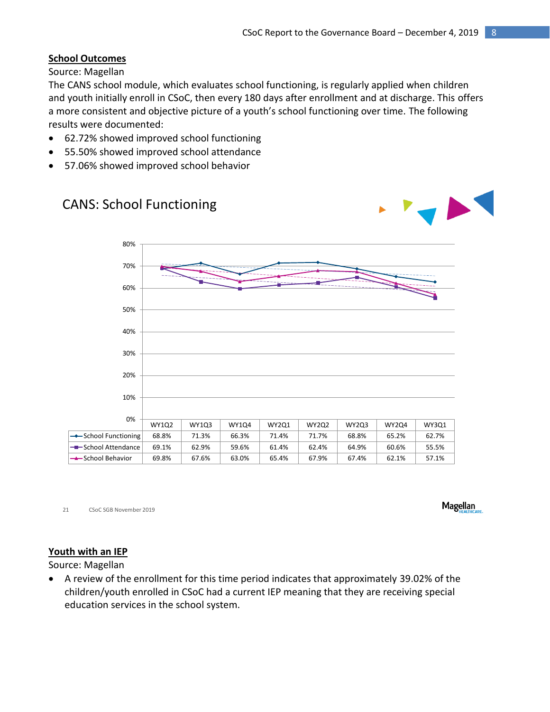## **School Outcomes**

Source: Magellan

The CANS school module, which evaluates school functioning, is regularly applied when children and youth initially enroll in CSoC, then every 180 days after enrollment and at discharge. This offers a more consistent and objective picture of a youth's school functioning over time. The following results were documented:

- 62.72% showed improved school functioning
- 55.50% showed improved school attendance
- 57.06% showed improved school behavior



21 CSoC SGB November 2019

**Magellan** 

## **Youth with an IEP**

Source: Magellan

 A review of the enrollment for this time period indicates that approximately 39.02% of the children/youth enrolled in CSoC had a current IEP meaning that they are receiving special education services in the school system.